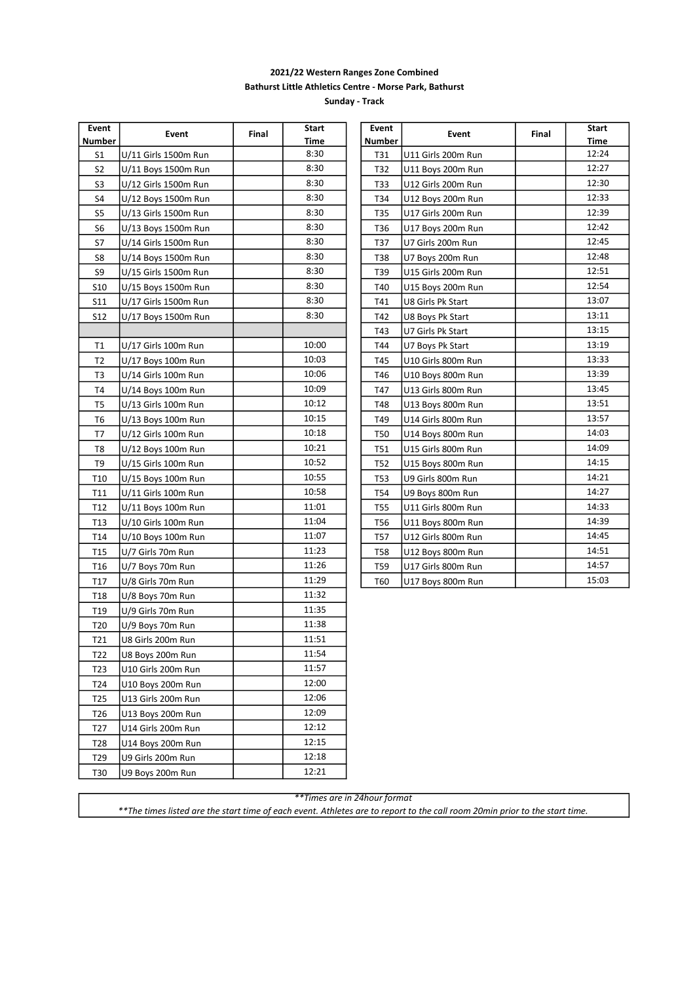## 2021/22 Western Ranges Zone Combined Bathurst Little Athletics Centre - Morse Park, Bathurst

Sunday - Track

| Event           |                      |       | <b>Start</b> | Event      |                    |       | <b>Start</b> |
|-----------------|----------------------|-------|--------------|------------|--------------------|-------|--------------|
| Number          | Event                | Final | Time         | Number     | Event              | Final | Time         |
| S1              | U/11 Girls 1500m Run |       | 8:30         | T31        | U11 Girls 200m Run |       | 12:24        |
| S <sub>2</sub>  | U/11 Boys 1500m Run  |       | 8:30         | T32        | U11 Boys 200m Run  |       | 12:27        |
| S <sub>3</sub>  | U/12 Girls 1500m Run |       | 8:30         | T33        | U12 Girls 200m Run |       | 12:30        |
| S4              | U/12 Boys 1500m Run  |       | 8:30         | T34        | U12 Boys 200m Run  |       | 12:33        |
| S5              | U/13 Girls 1500m Run |       | 8:30         | T35        | U17 Girls 200m Run |       | 12:39        |
| S <sub>6</sub>  | U/13 Boys 1500m Run  |       | 8:30         | T36        | U17 Boys 200m Run  |       | 12:42        |
| S7              | U/14 Girls 1500m Run |       | 8:30         | T37        | U7 Girls 200m Run  |       | 12:45        |
| S8              | U/14 Boys 1500m Run  |       | 8:30         | T38        | U7 Boys 200m Run   |       | 12:48        |
| S9              | U/15 Girls 1500m Run |       | 8:30         | T39        | U15 Girls 200m Run |       | 12:51        |
| S10             | U/15 Boys 1500m Run  |       | 8:30         | T40        | U15 Boys 200m Run  |       | 12:54        |
| <b>S11</b>      | U/17 Girls 1500m Run |       | 8:30         | T41        | U8 Girls Pk Start  |       | 13:07        |
| <b>S12</b>      | U/17 Boys 1500m Run  |       | 8:30         | T42        | U8 Boys Pk Start   |       | 13:11        |
|                 |                      |       |              | T43        | U7 Girls Pk Start  |       | 13:15        |
| T1              | U/17 Girls 100m Run  |       | 10:00        | T44        | U7 Boys Pk Start   |       | 13:19        |
| T <sub>2</sub>  | U/17 Boys 100m Run   |       | 10:03        | T45        | U10 Girls 800m Run |       | 13:33        |
| T3              | U/14 Girls 100m Run  |       | 10:06        | T46        | U10 Boys 800m Run  |       | 13:39        |
| T4              | U/14 Boys 100m Run   |       | 10:09        | T47        | U13 Girls 800m Run |       | 13:45        |
| T5              | U/13 Girls 100m Run  |       | 10:12        | T48        | U13 Boys 800m Run  |       | 13:51        |
| T <sub>6</sub>  | U/13 Boys 100m Run   |       | 10:15        | T49        | U14 Girls 800m Run |       | 13:57        |
| T7              | U/12 Girls 100m Run  |       | 10:18        | T50        | U14 Boys 800m Run  |       | 14:03        |
| T8              | U/12 Boys 100m Run   |       | 10:21        | T51        | U15 Girls 800m Run |       | 14:09        |
| T9              | U/15 Girls 100m Run  |       | 10:52        | T52        | U15 Boys 800m Run  |       | 14:15        |
| T <sub>10</sub> | U/15 Boys 100m Run   |       | 10:55        | <b>T53</b> | U9 Girls 800m Run  |       | 14:21        |
| T11             | U/11 Girls 100m Run  |       | 10:58        | T54        | U9 Boys 800m Run   |       | 14:27        |
| T <sub>12</sub> | U/11 Boys 100m Run   |       | 11:01        | T55        | U11 Girls 800m Run |       | 14:33        |
| T <sub>13</sub> | U/10 Girls 100m Run  |       | 11:04        | T56        | U11 Boys 800m Run  |       | 14:39        |
| T14             | U/10 Boys 100m Run   |       | 11:07        | T57        | U12 Girls 800m Run |       | 14:45        |
| T <sub>15</sub> | U/7 Girls 70m Run    |       | 11:23        | T58        | U12 Boys 800m Run  |       | 14:51        |
| T <sub>16</sub> | U/7 Boys 70m Run     |       | 11:26        | T59        | U17 Girls 800m Run |       | 14:57        |
| T17             | U/8 Girls 70m Run    |       | 11:29        | T60        | U17 Boys 800m Run  |       | 15:03        |
| T18             | U/8 Boys 70m Run     |       | 11:32        |            |                    |       |              |
| T <sub>19</sub> | U/9 Girls 70m Run    |       | 11:35        |            |                    |       |              |
| T <sub>20</sub> | U/9 Boys 70m Run     |       | 11:38        |            |                    |       |              |
| T21             | U8 Girls 200m Run    |       | 11:51        |            |                    |       |              |
| T22             | U8 Boys 200m Run     |       | 11:54        |            |                    |       |              |
| T23             | U10 Girls 200m Run   |       | 11:57        |            |                    |       |              |
| T24             | U10 Boys 200m Run    |       | 12:00        |            |                    |       |              |
| T <sub>25</sub> | U13 Girls 200m Run   |       | 12:06        |            |                    |       |              |
| T <sub>26</sub> | U13 Boys 200m Run    |       | 12:09        |            |                    |       |              |
| T27             | U14 Girls 200m Run   |       | 12:12        |            |                    |       |              |
| T <sub>28</sub> | U14 Boys 200m Run    |       | 12:15        |            |                    |       |              |
| T <sub>29</sub> | U9 Girls 200m Run    |       | 12:18        |            |                    |       |              |
| T30             | U9 Boys 200m Run     |       | 12:21        |            |                    |       |              |
|                 |                      |       |              |            |                    |       |              |

| Event         | Event              | Final | Start |
|---------------|--------------------|-------|-------|
| <b>Number</b> |                    |       | Time  |
| T31           | U11 Girls 200m Run |       | 12:24 |
| T32           | U11 Boys 200m Run  |       | 12:27 |
| T33           | U12 Girls 200m Run |       | 12:30 |
| T34           | U12 Boys 200m Run  |       | 12:33 |
| T35           | U17 Girls 200m Run |       | 12:39 |
| T36           | U17 Boys 200m Run  |       | 12:42 |
| T37           | U7 Girls 200m Run  |       | 12:45 |
| T38           | U7 Boys 200m Run   |       | 12:48 |
| T39           | U15 Girls 200m Run |       | 12:51 |
| T40           | U15 Boys 200m Run  |       | 12:54 |
| T41           | U8 Girls Pk Start  |       | 13:07 |
| T42           | U8 Boys Pk Start   |       | 13:11 |
| T43           | U7 Girls Pk Start  |       | 13:15 |
| T44           | U7 Boys Pk Start   |       | 13:19 |
| T45           | U10 Girls 800m Run |       | 13:33 |
| T46           | U10 Boys 800m Run  |       | 13:39 |
| T47           | U13 Girls 800m Run |       | 13:45 |
| T48           | U13 Boys 800m Run  |       | 13:51 |
| T49           | U14 Girls 800m Run |       | 13:57 |
| T50           | U14 Boys 800m Run  |       | 14:03 |
| <b>T51</b>    | U15 Girls 800m Run |       | 14:09 |
| T52           | U15 Boys 800m Run  |       | 14:15 |
| T53           | U9 Girls 800m Run  |       | 14:21 |
| T54           | U9 Boys 800m Run   |       | 14:27 |
| <b>T55</b>    | U11 Girls 800m Run |       | 14:33 |
| T56           | U11 Boys 800m Run  |       | 14:39 |
| T57           | U12 Girls 800m Run |       | 14:45 |
| <b>T58</b>    | U12 Boys 800m Run  |       | 14:51 |
| T59           | U17 Girls 800m Run |       | 14:57 |
| T60           | U17 Boys 800m Run  |       | 15:03 |

\*\*Times are in 24hour format

\*\*The times listed are the start time of each event. Athletes are to report to the call room 20min prior to the start time.